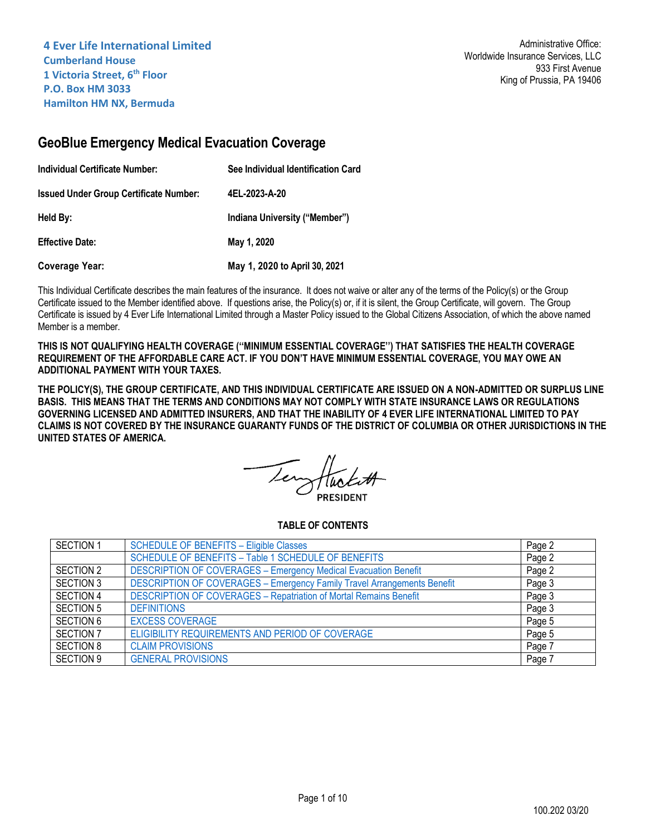# **GeoBlue Emergency Medical Evacuation Coverage**

| Individual Certificate Number:                | See Individual Identification Card |  |
|-----------------------------------------------|------------------------------------|--|
| <b>Issued Under Group Certificate Number:</b> | 4EL-2023-A-20                      |  |
| Held By:                                      | Indiana University ("Member")      |  |
| <b>Effective Date:</b>                        | May 1, 2020                        |  |
| Coverage Year:                                | May 1, 2020 to April 30, 2021      |  |

This Individual Certificate describes the main features of the insurance. It does not waive or alter any of the terms of the Policy(s) or the Group Certificate issued to the Member identified above. If questions arise, the Policy(s) or, if it is silent, the Group Certificate, will govern. The Group Certificate is issued by 4 Ever Life International Limited through a Master Policy issued to the Global Citizens Association, of which the above named Member is a member.

**THIS IS NOT QUALIFYING HEALTH COVERAGE (''MINIMUM ESSENTIAL COVERAGE'') THAT SATISFIES THE HEALTH COVERAGE REQUIREMENT OF THE AFFORDABLE CARE ACT. IF YOU DON'T HAVE MINIMUM ESSENTIAL COVERAGE, YOU MAY OWE AN ADDITIONAL PAYMENT WITH YOUR TAXES.**

**THE POLICY(S), THE GROUP CERTIFICATE, AND THIS INDIVIDUAL CERTIFICATE ARE ISSUED ON A NON-ADMITTED OR SURPLUS LINE BASIS. THIS MEANS THAT THE TERMS AND CONDITIONS MAY NOT COMPLY WITH STATE INSURANCE LAWS OR REGULATIONS GOVERNING LICENSED AND ADMITTED INSURERS, AND THAT THE INABILITY OF 4 EVER LIFE INTERNATIONAL LIMITED TO PAY CLAIMS IS NOT COVERED BY THE INSURANCE GUARANTY FUNDS OF THE DISTRICT OF COLUMBIA OR OTHER JURISDICTIONS IN THE UNITED STATES OF AMERICA.**

# **TABLE OF CONTENTS**

| <b>SECTION 1</b> | <b>SCHEDULE OF BENEFITS - Eligible Classes</b>                                 | Page 2 |
|------------------|--------------------------------------------------------------------------------|--------|
|                  | SCHEDULE OF BENEFITS - Table 1 SCHEDULE OF BENEFITS                            | Page 2 |
| SECTION 2        | <b>DESCRIPTION OF COVERAGES - Emergency Medical Evacuation Benefit</b>         | Page 2 |
| <b>SECTION 3</b> | <b>DESCRIPTION OF COVERAGES - Emergency Family Travel Arrangements Benefit</b> | Page 3 |
| <b>SECTION 4</b> | <b>DESCRIPTION OF COVERAGES - Repatriation of Mortal Remains Benefit</b>       | Page 3 |
| <b>SECTION 5</b> | <b>DEFINITIONS</b>                                                             | Page 3 |
| <b>SECTION 6</b> | <b>EXCESS COVERAGE</b>                                                         | Page 5 |
| SECTION 7        | ELIGIBILITY REQUIREMENTS AND PERIOD OF COVERAGE                                | Page 5 |
| <b>SECTION 8</b> | <b>CLAIM PROVISIONS</b>                                                        | Page 7 |
| SECTION 9        | <b>GENERAL PROVISIONS</b>                                                      | Page 7 |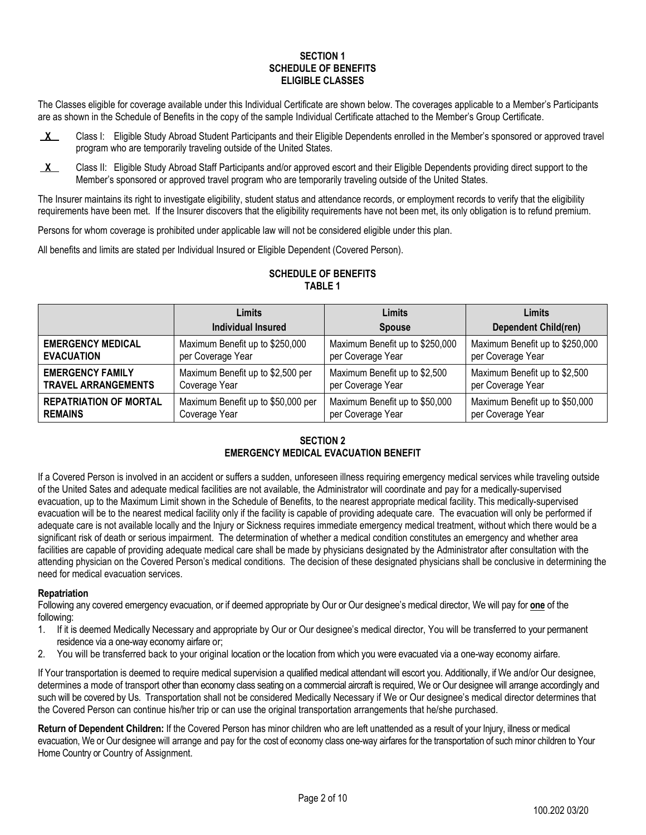## **SECTION 1 SCHEDULE OF BENEFITS ELIGIBLE CLASSES**

<span id="page-1-0"></span>The Classes eligible for coverage available under this Individual Certificate are shown below. The coverages applicable to a Member's Participants are as shown in the Schedule of Benefits in the copy of the sample Individual Certificate attached to the Member's Group Certificate.

- **X** Class I: Eligible Study Abroad Student Participants and their Eligible Dependents enrolled in the Member's sponsored or approved travel program who are temporarily traveling outside of the United States.
- **X** Class II: Eligible Study Abroad Staff Participants and/or approved escort and their Eligible Dependents providing direct support to the Member's sponsored or approved travel program who are temporarily traveling outside of the United States.

The Insurer maintains its right to investigate eligibility, student status and attendance records, or employment records to verify that the eligibility requirements have been met. If the Insurer discovers that the eligibility requirements have not been met, its only obligation is to refund premium.

Persons for whom coverage is prohibited under applicable law will not be considered eligible under this plan.

<span id="page-1-1"></span>All benefits and limits are stated per Individual Insured or Eligible Dependent (Covered Person).

|                               | Limits                             | Limits                          | Limits                          |
|-------------------------------|------------------------------------|---------------------------------|---------------------------------|
|                               | Individual Insured                 | <b>Spouse</b>                   | <b>Dependent Child(ren)</b>     |
| <b>EMERGENCY MEDICAL</b>      | Maximum Benefit up to \$250,000    | Maximum Benefit up to \$250,000 | Maximum Benefit up to \$250,000 |
| <b>EVACUATION</b>             | per Coverage Year                  | per Coverage Year               | per Coverage Year               |
| <b>EMERGENCY FAMILY</b>       | Maximum Benefit up to \$2,500 per  | Maximum Benefit up to \$2,500   | Maximum Benefit up to \$2,500   |
| <b>TRAVEL ARRANGEMENTS</b>    | Coverage Year                      | per Coverage Year               | per Coverage Year               |
| <b>REPATRIATION OF MORTAL</b> | Maximum Benefit up to \$50,000 per | Maximum Benefit up to \$50,000  | Maximum Benefit up to \$50,000  |
| <b>REMAINS</b>                | Coverage Year                      | per Coverage Year               | per Coverage Year               |

# **SCHEDULE OF BENEFITS TABLE 1**

# **SECTION 2 EMERGENCY MEDICAL EVACUATION BENEFIT**

<span id="page-1-2"></span>If a Covered Person is involved in an accident or suffers a sudden, unforeseen illness requiring emergency medical services while traveling outside of the United Sates and adequate medical facilities are not available, the Administrator will coordinate and pay for a medically-supervised evacuation, up to the Maximum Limit shown in the Schedule of Benefits, to the nearest appropriate medical facility. This medically-supervised evacuation will be to the nearest medical facility only if the facility is capable of providing adequate care. The evacuation will only be performed if adequate care is not available locally and the Injury or Sickness requires immediate emergency medical treatment, without which there would be a significant risk of death or serious impairment. The determination of whether a medical condition constitutes an emergency and whether area facilities are capable of providing adequate medical care shall be made by physicians designated by the Administrator after consultation with the attending physician on the Covered Person's medical conditions. The decision of these designated physicians shall be conclusive in determining the need for medical evacuation services.

# **Repatriation**

Following any covered emergency evacuation, or if deemed appropriate by Our or Our designee's medical director, We will pay for **one** of the following:

- 1. If it is deemed Medically Necessary and appropriate by Our or Our designee's medical director, You will be transferred to your permanent residence via a one-way economy airfare or;
- 2. You will be transferred back to your original location or the location from which you were evacuated via a one-way economy airfare.

If Your transportation is deemed to require medical supervision a qualified medical attendant will escort you. Additionally, if We and/or Our designee, determines a mode of transport other than economy class seating on a commercial aircraft is required, We or Our designee will arrange accordingly and such will be covered by Us. Transportation shall not be considered Medically Necessary if We or Our designee's medical director determines that the Covered Person can continue his/her trip or can use the original transportation arrangements that he/she purchased.

**Return of Dependent Children:** If the Covered Person has minor children who are left unattended as a result of your Injury, illness or medical evacuation, We or Our designee will arrange and pay for the cost of economy class one-way airfares for the transportation of such minor children to Your Home Country or Country of Assignment.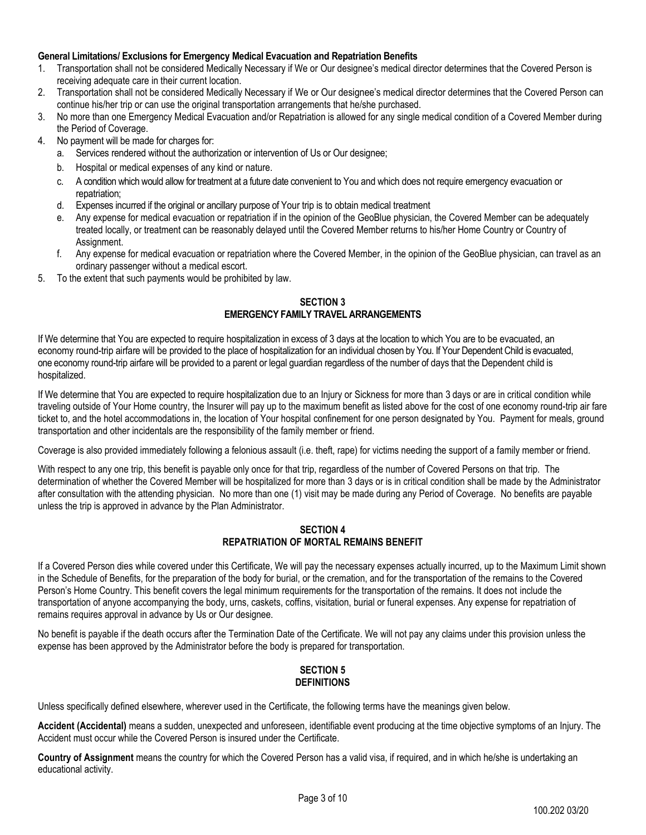## **General Limitations/ Exclusions for Emergency Medical Evacuation and Repatriation Benefits**

- 1. Transportation shall not be considered Medically Necessary if We or Our designee's medical director determines that the Covered Person is receiving adequate care in their current location.
- 2. Transportation shall not be considered Medically Necessary if We or Our designee's medical director determines that the Covered Person can continue his/her trip or can use the original transportation arrangements that he/she purchased.
- 3. No more than one Emergency Medical Evacuation and/or Repatriation is allowed for any single medical condition of a Covered Member during the Period of Coverage.
- 4. No payment will be made for charges for:
	- a. Services rendered without the authorization or intervention of Us or Our designee;
	- b. Hospital or medical expenses of any kind or nature.
	- c. A condition which would allow for treatment at a future date convenient to You and which does not require emergency evacuation or repatriation;
	- d. Expenses incurred if the original or ancillary purpose of Your trip is to obtain medical treatment
	- e. Any expense for medical evacuation or repatriation if in the opinion of the GeoBlue physician, the Covered Member can be adequately treated locally, or treatment can be reasonably delayed until the Covered Member returns to his/her Home Country or Country of Assignment.
	- f. Any expense for medical evacuation or repatriation where the Covered Member, in the opinion of the GeoBlue physician, can travel as an ordinary passenger without a medical escort.
- <span id="page-2-0"></span>5. To the extent that such payments would be prohibited by law.

## **SECTION 3 EMERGENCY FAMILY TRAVEL ARRANGEMENTS**

If We determine that You are expected to require hospitalization in excess of 3 days at the location to which You are to be evacuated, an economy round-trip airfare will be provided to the place of hospitalization for an individual chosen by You. If Your Dependent Child is evacuated, one economy round-trip airfare will be provided to a parent or legal guardian regardless of the number of days that the Dependent child is hospitalized.

If We determine that You are expected to require hospitalization due to an Injury or Sickness for more than 3 days or are in critical condition while traveling outside of Your Home country, the Insurer will pay up to the maximum benefit as listed above for the cost of one economy round-trip air fare ticket to, and the hotel accommodations in, the location of Your hospital confinement for one person designated by You. Payment for meals, ground transportation and other incidentals are the responsibility of the family member or friend.

Coverage is also provided immediately following a felonious assault (i.e. theft, rape) for victims needing the support of a family member or friend.

With respect to any one trip, this benefit is payable only once for that trip, regardless of the number of Covered Persons on that trip. The determination of whether the Covered Member will be hospitalized for more than 3 days or is in critical condition shall be made by the Administrator after consultation with the attending physician. No more than one (1) visit may be made during any Period of Coverage. No benefits are payable unless the trip is approved in advance by the Plan Administrator.

## **SECTION 4 REPATRIATION OF MORTAL REMAINS BENEFIT**

<span id="page-2-1"></span>If a Covered Person dies while covered under this Certificate, We will pay the necessary expenses actually incurred, up to the Maximum Limit shown in the Schedule of Benefits, for the preparation of the body for burial, or the cremation, and for the transportation of the remains to the Covered Person's Home Country. This benefit covers the legal minimum requirements for the transportation of the remains. It does not include the transportation of anyone accompanying the body, urns, caskets, coffins, visitation, burial or funeral expenses. Any expense for repatriation of remains requires approval in advance by Us or Our designee.

<span id="page-2-2"></span>No benefit is payable if the death occurs after the Termination Date of the Certificate. We will not pay any claims under this provision unless the expense has been approved by the Administrator before the body is prepared for transportation.

# **SECTION 5 DEFINITIONS**

Unless specifically defined elsewhere, wherever used in the Certificate, the following terms have the meanings given below.

**Accident (Accidental)** means a sudden, unexpected and unforeseen, identifiable event producing at the time objective symptoms of an Injury. The Accident must occur while the Covered Person is insured under the Certificate.

**Country of Assignment** means the country for which the Covered Person has a valid visa, if required, and in which he/she is undertaking an educational activity.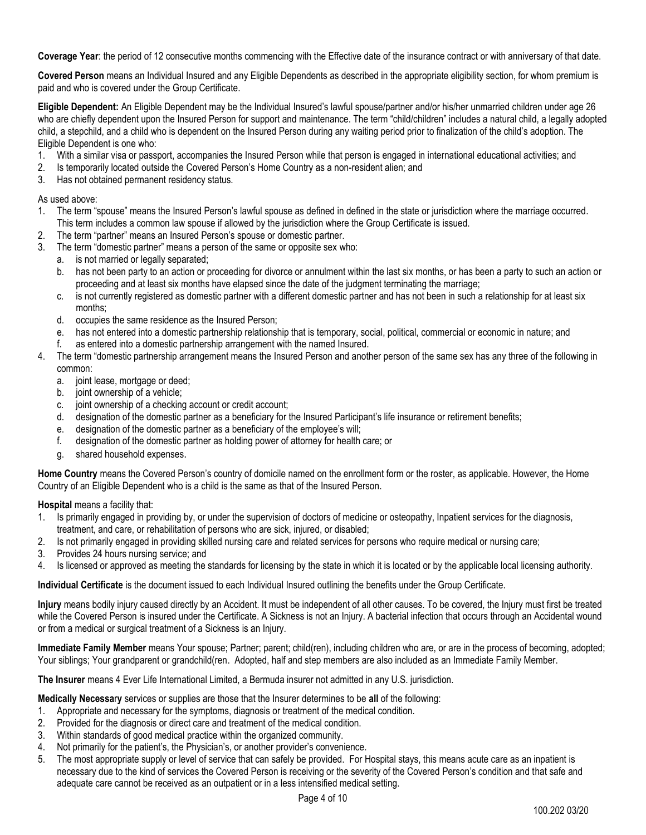**Coverage Year**: the period of 12 consecutive months commencing with the Effective date of the insurance contract or with anniversary of that date.

**Covered Person** means an Individual Insured and any Eligible Dependents as described in the appropriate eligibility section, for whom premium is paid and who is covered under the Group Certificate.

**Eligible Dependent:** An Eligible Dependent may be the Individual Insured's lawful spouse/partner and/or his/her unmarried children under age 26 who are chiefly dependent upon the Insured Person for support and maintenance. The term "child/children" includes a natural child, a legally adopted child, a stepchild, and a child who is dependent on the Insured Person during any waiting period prior to finalization of the child's adoption. The Eligible Dependent is one who:

- 1. With a similar visa or passport, accompanies the Insured Person while that person is engaged in international educational activities; and
- 2. Is temporarily located outside the Covered Person's Home Country as a non-resident alien; and
- 3. Has not obtained permanent residency status.

## As used above:

- 1. The term "spouse" means the Insured Person's lawful spouse as defined in defined in the state or jurisdiction where the marriage occurred. This term includes a common law spouse if allowed by the jurisdiction where the Group Certificate is issued.
- 2. The term "partner" means an Insured Person's spouse or domestic partner.
- 3. The term "domestic partner" means a person of the same or opposite sex who:
	- a. is not married or legally separated;
	- b. has not been party to an action or proceeding for divorce or annulment within the last six months, or has been a party to such an action or proceeding and at least six months have elapsed since the date of the judgment terminating the marriage;
	- c. is not currently registered as domestic partner with a different domestic partner and has not been in such a relationship for at least six months;
	- d. occupies the same residence as the Insured Person;
	- e. has not entered into a domestic partnership relationship that is temporary, social, political, commercial or economic in nature; and
	- f. as entered into a domestic partnership arrangement with the named Insured.
- 4. The term "domestic partnership arrangement means the Insured Person and another person of the same sex has any three of the following in common:
	- a. joint lease, mortgage or deed;
	- b. joint ownership of a vehicle;
	- c. joint ownership of a checking account or credit account;
	- d. designation of the domestic partner as a beneficiary for the Insured Participant's life insurance or retirement benefits;
	- e. designation of the domestic partner as a beneficiary of the employee's will;
	- f. designation of the domestic partner as holding power of attorney for health care; or
	- g. shared household expenses.

**Home Country** means the Covered Person's country of domicile named on the enrollment form or the roster, as applicable. However, the Home Country of an Eligible Dependent who is a child is the same as that of the Insured Person.

**Hospital** means a facility that:

- 1. Is primarily engaged in providing by, or under the supervision of doctors of medicine or osteopathy, Inpatient services for the diagnosis, treatment, and care, or rehabilitation of persons who are sick, injured, or disabled;
- 2. Is not primarily engaged in providing skilled nursing care and related services for persons who require medical or nursing care;
- 3. Provides 24 hours nursing service; and
- 4. Is licensed or approved as meeting the standards for licensing by the state in which it is located or by the applicable local licensing authority.

**Individual Certificate** is the document issued to each Individual Insured outlining the benefits under the Group Certificate.

**Injury** means bodily injury caused directly by an Accident. It must be independent of all other causes. To be covered, the Injury must first be treated while the Covered Person is insured under the Certificate. A Sickness is not an Injury. A bacterial infection that occurs through an Accidental wound or from a medical or surgical treatment of a Sickness is an Injury.

**Immediate Family Member** means Your spouse; Partner; parent; child(ren), including children who are, or are in the process of becoming, adopted; Your siblings; Your grandparent or grandchild(ren. Adopted, half and step members are also included as an Immediate Family Member.

**The Insurer** means 4 Ever Life International Limited, a Bermuda insurer not admitted in any U.S. jurisdiction.

**Medically Necessa**r**y** services or supplies are those that the Insurer determines to be **all** of the following:

- 1. Appropriate and necessary for the symptoms, diagnosis or treatment of the medical condition.
- 2. Provided for the diagnosis or direct care and treatment of the medical condition.
- 3. Within standards of good medical practice within the organized community.
- 4. Not primarily for the patient's, the Physician's, or another provider's convenience.
- 5. The most appropriate supply or level of service that can safely be provided. For Hospital stays, this means acute care as an inpatient is necessary due to the kind of services the Covered Person is receiving or the severity of the Covered Person's condition and that safe and adequate care cannot be received as an outpatient or in a less intensified medical setting.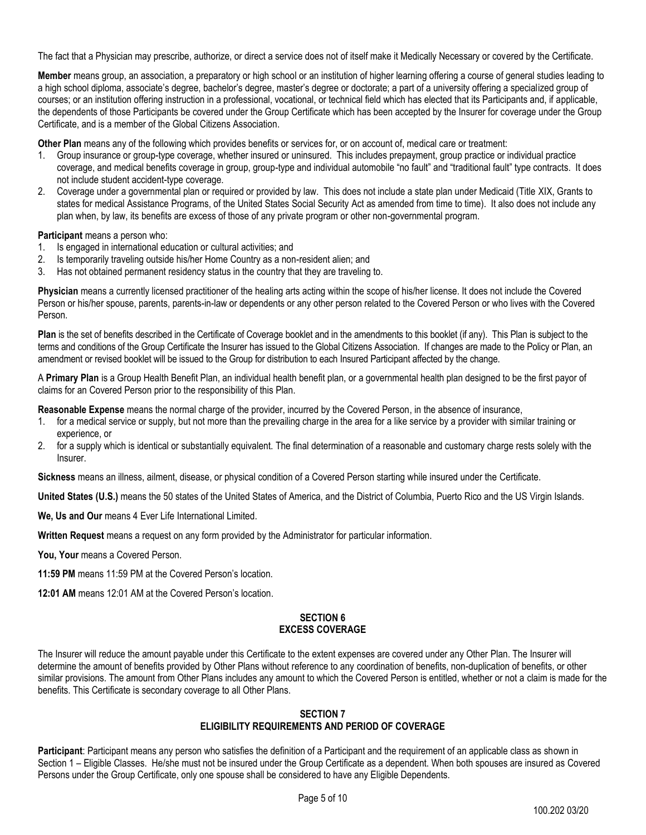The fact that a Physician may prescribe, authorize, or direct a service does not of itself make it Medically Necessary or covered by the Certificate.

**Member** means group, an association, a preparatory or high school or an institution of higher learning offering a course of general studies leading to a high school diploma, associate's degree, bachelor's degree, master's degree or doctorate; a part of a university offering a specialized group of courses; or an institution offering instruction in a professional, vocational, or technical field which has elected that its Participants and, if applicable, the dependents of those Participants be covered under the Group Certificate which has been accepted by the Insurer for coverage under the Group Certificate, and is a member of the Global Citizens Association.

**Other Plan** means any of the following which provides benefits or services for, or on account of, medical care or treatment:

- 1. Group insurance or group-type coverage, whether insured or uninsured. This includes prepayment, group practice or individual practice coverage, and medical benefits coverage in group, group-type and individual automobile "no fault" and "traditional fault" type contracts. It does not include student accident-type coverage.
- 2. Coverage under a governmental plan or required or provided by law. This does not include a state plan under Medicaid (Title XIX, Grants to states for medical Assistance Programs, of the United States Social Security Act as amended from time to time). It also does not include any plan when, by law, its benefits are excess of those of any private program or other non-governmental program.

**Participant** means a person who:

- 1. Is engaged in international education or cultural activities; and
- 2. Is temporarily traveling outside his/her Home Country as a non-resident alien; and
- 3. Has not obtained permanent residency status in the country that they are traveling to.

**Physician** means a currently licensed practitioner of the healing arts acting within the scope of his/her license. It does not include the Covered Person or his/her spouse, parents, parents-in-law or dependents or any other person related to the Covered Person or who lives with the Covered Person.

**Plan** is the set of benefits described in the Certificate of Coverage booklet and in the amendments to this booklet (if any). This Plan is subject to the terms and conditions of the Group Certificate the Insurer has issued to the Global Citizens Association. If changes are made to the Policy or Plan, an amendment or revised booklet will be issued to the Group for distribution to each Insured Participant affected by the change.

A **Primary Plan** is a Group Health Benefit Plan, an individual health benefit plan, or a governmental health plan designed to be the first payor of claims for an Covered Person prior to the responsibility of this Plan.

**Reasonable Expense** means the normal charge of the provider, incurred by the Covered Person, in the absence of insurance,

- 1. for a medical service or supply, but not more than the prevailing charge in the area for a like service by a provider with similar training or experience, or
- 2. for a supply which is identical or substantially equivalent. The final determination of a reasonable and customary charge rests solely with the Insurer.

**Sickness** means an illness, ailment, disease, or physical condition of a Covered Person starting while insured under the Certificate.

**United States (U.S.)** means the 50 states of the United States of America, and the District of Columbia, Puerto Rico and the US Virgin Islands.

**We, Us and Our** means 4 Ever Life International Limited.

**Written Request** means a request on any form provided by the Administrator for particular information.

You, Your means a Covered Person.

**11:59 PM** means 11:59 PM at the Covered Person's location.

<span id="page-4-0"></span>**12:01 AM** means 12:01 AM at the Covered Person's location.

#### **SECTION 6 EXCESS COVERAGE**

The Insurer will reduce the amount payable under this Certificate to the extent expenses are covered under any Other Plan. The Insurer will determine the amount of benefits provided by Other Plans without reference to any coordination of benefits, non-duplication of benefits, or other similar provisions. The amount from Other Plans includes any amount to which the Covered Person is entitled, whether or not a claim is made for the benefits. This Certificate is secondary coverage to all Other Plans.

#### **SECTION 7 ELIGIBILITY REQUIREMENTS AND PERIOD OF COVERAGE**

<span id="page-4-1"></span>**Participant**: Participant means any person who satisfies the definition of a Participant and the requirement of an applicable class as shown in Section 1 – Eligible Classes. He/she must not be insured under the Group Certificate as a dependent. When both spouses are insured as Covered Persons under the Group Certificate, only one spouse shall be considered to have any Eligible Dependents.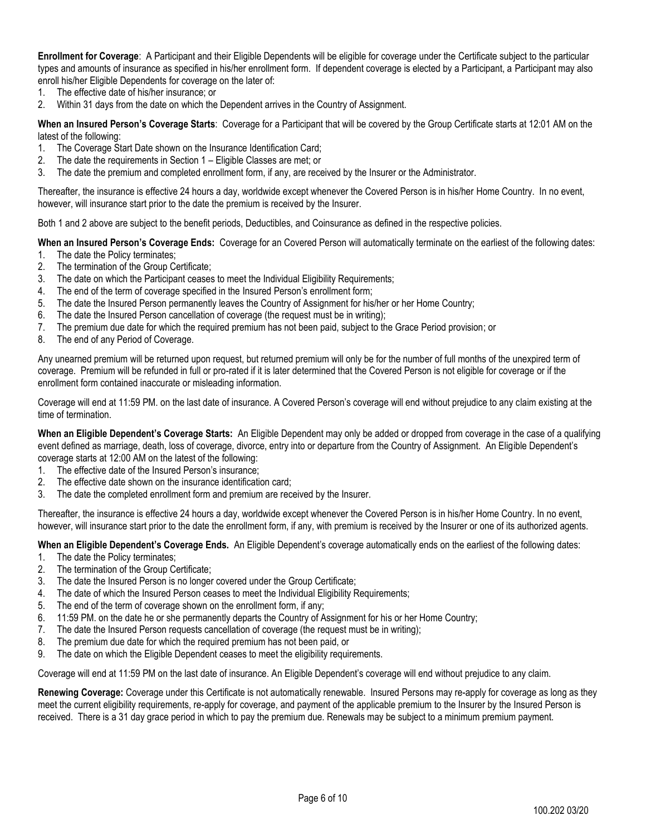**Enrollment for Coverage**: A Participant and their Eligible Dependents will be eligible for coverage under the Certificate subject to the particular types and amounts of insurance as specified in his/her enrollment form. If dependent coverage is elected by a Participant, a Participant may also enroll his/her Eligible Dependents for coverage on the later of:

- 1. The effective date of his/her insurance; or
- 2. Within 31 days from the date on which the Dependent arrives in the Country of Assignment.

**When an Insured Person's Coverage Starts**: Coverage for a Participant that will be covered by the Group Certificate starts at 12:01 AM on the latest of the following:

- 1. The Coverage Start Date shown on the Insurance Identification Card;
- 2. The date the requirements in Section 1 Eligible Classes are met; or
- 3. The date the premium and completed enrollment form, if any, are received by the Insurer or the Administrator.

Thereafter, the insurance is effective 24 hours a day, worldwide except whenever the Covered Person is in his/her Home Country. In no event, however, will insurance start prior to the date the premium is received by the Insurer.

Both 1 and 2 above are subject to the benefit periods, Deductibles, and Coinsurance as defined in the respective policies.

**When an Insured Person's Coverage Ends:** Coverage for an Covered Person will automatically terminate on the earliest of the following dates:

- 1. The date the Policy terminates;
- 2. The termination of the Group Certificate;
- 3. The date on which the Participant ceases to meet the Individual Eligibility Requirements;
- 4. The end of the term of coverage specified in the Insured Person's enrollment form;
- 5. The date the Insured Person permanently leaves the Country of Assignment for his/her or her Home Country;
- 6. The date the Insured Person cancellation of coverage (the request must be in writing);
- 7. The premium due date for which the required premium has not been paid, subject to the Grace Period provision; or
- 8. The end of any Period of Coverage.

Any unearned premium will be returned upon request, but returned premium will only be for the number of full months of the unexpired term of coverage. Premium will be refunded in full or pro-rated if it is later determined that the Covered Person is not eligible for coverage or if the enrollment form contained inaccurate or misleading information.

Coverage will end at 11:59 PM. on the last date of insurance. A Covered Person's coverage will end without prejudice to any claim existing at the time of termination.

**When an Eligible Dependent's Coverage Starts:** An Eligible Dependent may only be added or dropped from coverage in the case of a qualifying event defined as marriage, death, loss of coverage, divorce, entry into or departure from the Country of Assignment. An Eligible Dependent's coverage starts at 12:00 AM on the latest of the following:

- 1. The effective date of the Insured Person's insurance;
- 2. The effective date shown on the insurance identification card;
- 3. The date the completed enrollment form and premium are received by the Insurer.

Thereafter, the insurance is effective 24 hours a day, worldwide except whenever the Covered Person is in his/her Home Country. In no event, however, will insurance start prior to the date the enrollment form, if any, with premium is received by the Insurer or one of its authorized agents.

**When an Eligible Dependent's Coverage Ends.** An Eligible Dependent's coverage automatically ends on the earliest of the following dates:

- 1. The date the Policy terminates;
- 2. The termination of the Group Certificate;
- 3. The date the Insured Person is no longer covered under the Group Certificate;
- 4. The date of which the Insured Person ceases to meet the Individual Eligibility Requirements;
- 5. The end of the term of coverage shown on the enrollment form, if any;
- 6. 11:59 PM. on the date he or she permanently departs the Country of Assignment for his or her Home Country;
- 7. The date the Insured Person requests cancellation of coverage (the request must be in writing);
- 8. The premium due date for which the required premium has not been paid, or
- 9. The date on which the Eligible Dependent ceases to meet the eligibility requirements.

Coverage will end at 11:59 PM on the last date of insurance. An Eligible Dependent's coverage will end without prejudice to any claim.

**Renewing Coverage:** Coverage under this Certificate is not automatically renewable. Insured Persons may re-apply for coverage as long as they meet the current eligibility requirements, re-apply for coverage, and payment of the applicable premium to the Insurer by the Insured Person is received. There is a 31 day grace period in which to pay the premium due. Renewals may be subject to a minimum premium payment.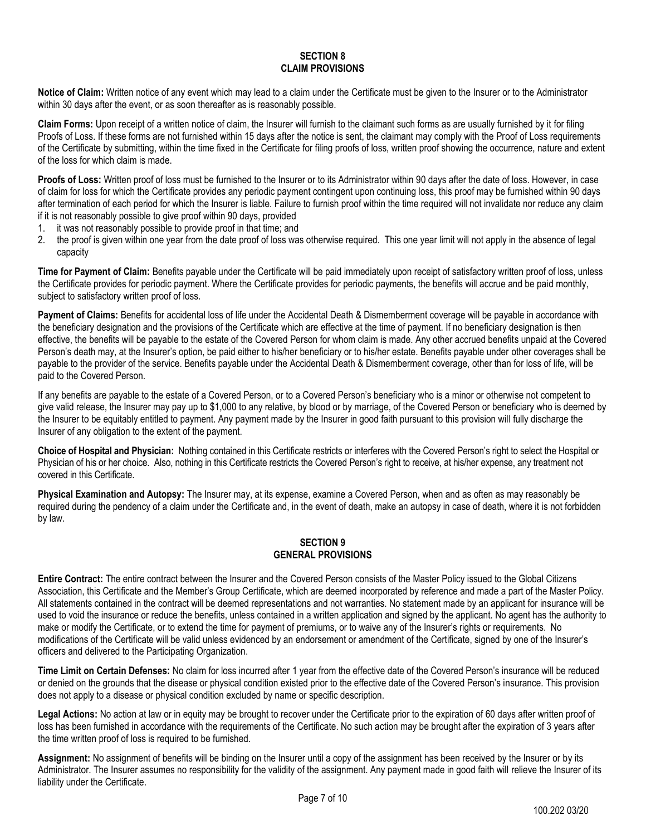#### **SECTION 8 CLAIM PROVISIONS**

<span id="page-6-0"></span>**Notice of Claim:** Written notice of any event which may lead to a claim under the Certificate must be given to the Insurer or to the Administrator within 30 days after the event, or as soon thereafter as is reasonably possible.

**Claim Forms:** Upon receipt of a written notice of claim, the Insurer will furnish to the claimant such forms as are usually furnished by it for filing Proofs of Loss. If these forms are not furnished within 15 days after the notice is sent, the claimant may comply with the Proof of Loss requirements of the Certificate by submitting, within the time fixed in the Certificate for filing proofs of loss, written proof showing the occurrence, nature and extent of the loss for which claim is made.

**Proofs of Loss:** Written proof of loss must be furnished to the Insurer or to its Administrator within 90 days after the date of loss. However, in case of claim for loss for which the Certificate provides any periodic payment contingent upon continuing loss, this proof may be furnished within 90 days after termination of each period for which the Insurer is liable. Failure to furnish proof within the time required will not invalidate nor reduce any claim if it is not reasonably possible to give proof within 90 days, provided

- 1. it was not reasonably possible to provide proof in that time; and
- 2. the proof is given within one year from the date proof of loss was otherwise required. This one year limit will not apply in the absence of legal capacity

**Time for Payment of Claim:** Benefits payable under the Certificate will be paid immediately upon receipt of satisfactory written proof of loss, unless the Certificate provides for periodic payment. Where the Certificate provides for periodic payments, the benefits will accrue and be paid monthly, subject to satisfactory written proof of loss.

**Payment of Claims:** Benefits for accidental loss of life under the Accidental Death & Dismemberment coverage will be payable in accordance with the beneficiary designation and the provisions of the Certificate which are effective at the time of payment. If no beneficiary designation is then effective, the benefits will be payable to the estate of the Covered Person for whom claim is made. Any other accrued benefits unpaid at the Covered Person's death may, at the Insurer's option, be paid either to his/her beneficiary or to his/her estate. Benefits payable under other coverages shall be payable to the provider of the service. Benefits payable under the Accidental Death & Dismemberment coverage, other than for loss of life, will be paid to the Covered Person.

If any benefits are payable to the estate of a Covered Person, or to a Covered Person's beneficiary who is a minor or otherwise not competent to give valid release, the Insurer may pay up to \$1,000 to any relative, by blood or by marriage, of the Covered Person or beneficiary who is deemed by the Insurer to be equitably entitled to payment. Any payment made by the Insurer in good faith pursuant to this provision will fully discharge the Insurer of any obligation to the extent of the payment.

**Choice of Hospital and Physician:** Nothing contained in this Certificate restricts or interferes with the Covered Person's right to select the Hospital or Physician of his or her choice. Also, nothing in this Certificate restricts the Covered Person's right to receive, at his/her expense, any treatment not covered in this Certificate.

**Physical Examination and Autopsy:** The Insurer may, at its expense, examine a Covered Person, when and as often as may reasonably be required during the pendency of a claim under the Certificate and, in the event of death, make an autopsy in case of death, where it is not forbidden by law.

## **SECTION 9 GENERAL PROVISIONS**

<span id="page-6-1"></span>**Entire Contract:** The entire contract between the Insurer and the Covered Person consists of the Master Policy issued to the Global Citizens Association, this Certificate and the Member's Group Certificate, which are deemed incorporated by reference and made a part of the Master Policy. All statements contained in the contract will be deemed representations and not warranties. No statement made by an applicant for insurance will be used to void the insurance or reduce the benefits, unless contained in a written application and signed by the applicant. No agent has the authority to make or modify the Certificate, or to extend the time for payment of premiums, or to waive any of the Insurer's rights or requirements. No modifications of the Certificate will be valid unless evidenced by an endorsement or amendment of the Certificate, signed by one of the Insurer's officers and delivered to the Participating Organization.

**Time Limit on Certain Defenses:** No claim for loss incurred after 1 year from the effective date of the Covered Person's insurance will be reduced or denied on the grounds that the disease or physical condition existed prior to the effective date of the Covered Person's insurance. This provision does not apply to a disease or physical condition excluded by name or specific description.

Legal Actions: No action at law or in equity may be brought to recover under the Certificate prior to the expiration of 60 days after written proof of loss has been furnished in accordance with the requirements of the Certificate. No such action may be brought after the expiration of 3 years after the time written proof of loss is required to be furnished.

**Assignment:** No assignment of benefits will be binding on the Insurer until a copy of the assignment has been received by the Insurer or by its Administrator. The Insurer assumes no responsibility for the validity of the assignment. Any payment made in good faith will relieve the Insurer of its liability under the Certificate.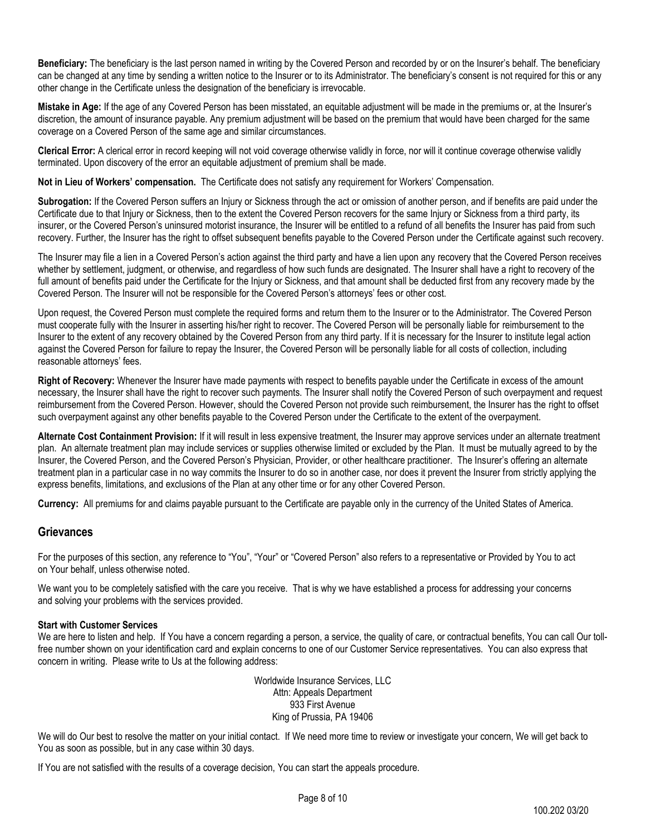**Beneficiary:** The beneficiary is the last person named in writing by the Covered Person and recorded by or on the Insurer's behalf. The beneficiary can be changed at any time by sending a written notice to the Insurer or to its Administrator. The beneficiary's consent is not required for this or any other change in the Certificate unless the designation of the beneficiary is irrevocable.

**Mistake in Age:** If the age of any Covered Person has been misstated, an equitable adjustment will be made in the premiums or, at the Insurer's discretion, the amount of insurance payable. Any premium adjustment will be based on the premium that would have been charged for the same coverage on a Covered Person of the same age and similar circumstances.

**Clerical Error:** A clerical error in record keeping will not void coverage otherwise validly in force, nor will it continue coverage otherwise validly terminated. Upon discovery of the error an equitable adjustment of premium shall be made.

**Not in Lieu of Workers' compensation.** The Certificate does not satisfy any requirement for Workers' Compensation.

**Subrogation:** If the Covered Person suffers an Injury or Sickness through the act or omission of another person, and if benefits are paid under the Certificate due to that Injury or Sickness, then to the extent the Covered Person recovers for the same Injury or Sickness from a third party, its insurer, or the Covered Person's uninsured motorist insurance, the Insurer will be entitled to a refund of all benefits the Insurer has paid from such recovery. Further, the Insurer has the right to offset subsequent benefits payable to the Covered Person under the Certificate against such recovery.

The Insurer may file a lien in a Covered Person's action against the third party and have a lien upon any recovery that the Covered Person receives whether by settlement, judgment, or otherwise, and regardless of how such funds are designated. The Insurer shall have a right to recovery of the full amount of benefits paid under the Certificate for the Injury or Sickness, and that amount shall be deducted first from any recovery made by the Covered Person. The Insurer will not be responsible for the Covered Person's attorneys' fees or other cost.

Upon request, the Covered Person must complete the required forms and return them to the Insurer or to the Administrator. The Covered Person must cooperate fully with the Insurer in asserting his/her right to recover. The Covered Person will be personally liable for reimbursement to the Insurer to the extent of any recovery obtained by the Covered Person from any third party. If it is necessary for the Insurer to institute legal action against the Covered Person for failure to repay the Insurer, the Covered Person will be personally liable for all costs of collection, including reasonable attorneys' fees.

**Right of Recovery:** Whenever the Insurer have made payments with respect to benefits payable under the Certificate in excess of the amount necessary, the Insurer shall have the right to recover such payments. The Insurer shall notify the Covered Person of such overpayment and request reimbursement from the Covered Person. However, should the Covered Person not provide such reimbursement, the Insurer has the right to offset such overpayment against any other benefits payable to the Covered Person under the Certificate to the extent of the overpayment.

**Alternate Cost Containment Provision:** If it will result in less expensive treatment, the Insurer may approve services under an alternate treatment plan. An alternate treatment plan may include services or supplies otherwise limited or excluded by the Plan. It must be mutually agreed to by the Insurer, the Covered Person, and the Covered Person's Physician, Provider, or other healthcare practitioner. The Insurer's offering an alternate treatment plan in a particular case in no way commits the Insurer to do so in another case, nor does it prevent the Insurer from strictly applying the express benefits, limitations, and exclusions of the Plan at any other time or for any other Covered Person.

**Currency:** All premiums for and claims payable pursuant to the Certificate are payable only in the currency of the United States of America.

# **Grievances**

For the purposes of this section, any reference to "You", "Your" or "Covered Person" also refers to a representative or Provided by You to act on Your behalf, unless otherwise noted.

We want you to be completely satisfied with the care you receive. That is why we have established a process for addressing your concerns and solving your problems with the services provided.

## **Start with Customer Services**

We are here to listen and help. If You have a concern regarding a person, a service, the quality of care, or contractual benefits, You can call Our tollfree number shown on your identification card and explain concerns to one of our Customer Service representatives. You can also express that concern in writing. Please write to Us at the following address:

> Worldwide Insurance Services, LLC Attn: Appeals Department 933 First Avenue King of Prussia, PA 19406

We will do Our best to resolve the matter on your initial contact. If We need more time to review or investigate your concern, We will get back to You as soon as possible, but in any case within 30 days.

If You are not satisfied with the results of a coverage decision, You can start the appeals procedure.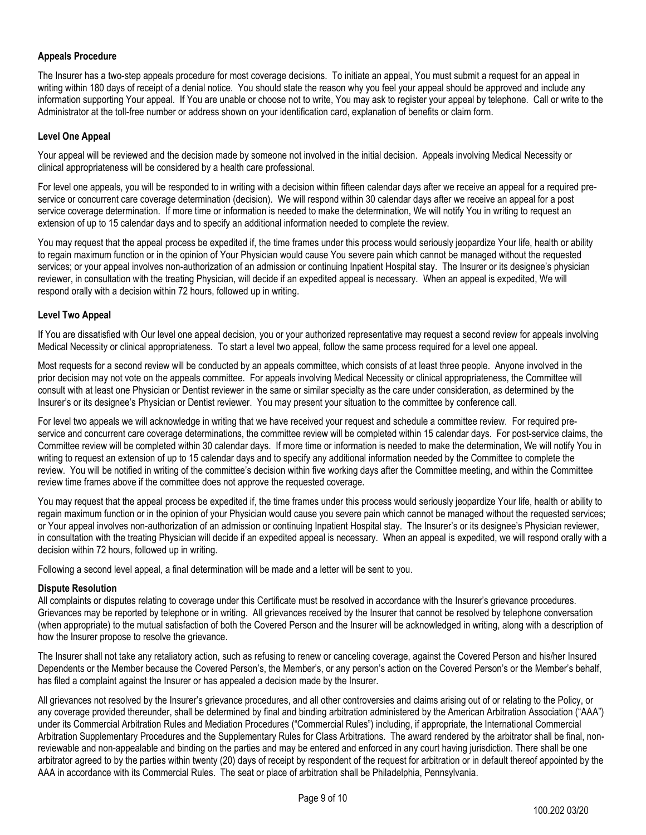## **Appeals Procedure**

The Insurer has a two-step appeals procedure for most coverage decisions. To initiate an appeal, You must submit a request for an appeal in writing within 180 days of receipt of a denial notice. You should state the reason why you feel your appeal should be approved and include any information supporting Your appeal. If You are unable or choose not to write, You may ask to register your appeal by telephone. Call or write to the Administrator at the toll-free number or address shown on your identification card, explanation of benefits or claim form.

## **Level One Appeal**

Your appeal will be reviewed and the decision made by someone not involved in the initial decision. Appeals involving Medical Necessity or clinical appropriateness will be considered by a health care professional.

For level one appeals, you will be responded to in writing with a decision within fifteen calendar days after we receive an appeal for a required preservice or concurrent care coverage determination (decision). We will respond within 30 calendar days after we receive an appeal for a post service coverage determination. If more time or information is needed to make the determination, We will notify You in writing to request an extension of up to 15 calendar days and to specify an additional information needed to complete the review.

You may request that the appeal process be expedited if, the time frames under this process would seriously jeopardize Your life, health or ability to regain maximum function or in the opinion of Your Physician would cause You severe pain which cannot be managed without the requested services; or your appeal involves non-authorization of an admission or continuing Inpatient Hospital stay. The Insurer or its designee's physician reviewer, in consultation with the treating Physician, will decide if an expedited appeal is necessary. When an appeal is expedited, We will respond orally with a decision within 72 hours, followed up in writing.

## **Level Two Appeal**

If You are dissatisfied with Our level one appeal decision, you or your authorized representative may request a second review for appeals involving Medical Necessity or clinical appropriateness. To start a level two appeal, follow the same process required for a level one appeal.

Most requests for a second review will be conducted by an appeals committee, which consists of at least three people. Anyone involved in the prior decision may not vote on the appeals committee. For appeals involving Medical Necessity or clinical appropriateness, the Committee will consult with at least one Physician or Dentist reviewer in the same or similar specialty as the care under consideration, as determined by the Insurer's or its designee's Physician or Dentist reviewer. You may present your situation to the committee by conference call.

For level two appeals we will acknowledge in writing that we have received your request and schedule a committee review. For required preservice and concurrent care coverage determinations, the committee review will be completed within 15 calendar days. For post-service claims, the Committee review will be completed within 30 calendar days. If more time or information is needed to make the determination, We will notify You in writing to request an extension of up to 15 calendar days and to specify any additional information needed by the Committee to complete the review. You will be notified in writing of the committee's decision within five working days after the Committee meeting, and within the Committee review time frames above if the committee does not approve the requested coverage.

You may request that the appeal process be expedited if, the time frames under this process would seriously jeopardize Your life, health or ability to regain maximum function or in the opinion of your Physician would cause you severe pain which cannot be managed without the requested services; or Your appeal involves non-authorization of an admission or continuing Inpatient Hospital stay. The Insurer's or its designee's Physician reviewer, in consultation with the treating Physician will decide if an expedited appeal is necessary. When an appeal is expedited, we will respond orally with a decision within 72 hours, followed up in writing.

Following a second level appeal, a final determination will be made and a letter will be sent to you.

## **Dispute Resolution**

All complaints or disputes relating to coverage under this Certificate must be resolved in accordance with the Insurer's grievance procedures. Grievances may be reported by telephone or in writing. All grievances received by the Insurer that cannot be resolved by telephone conversation (when appropriate) to the mutual satisfaction of both the Covered Person and the Insurer will be acknowledged in writing, along with a description of how the Insurer propose to resolve the grievance.

The Insurer shall not take any retaliatory action, such as refusing to renew or canceling coverage, against the Covered Person and his/her Insured Dependents or the Member because the Covered Person's, the Member's, or any person's action on the Covered Person's or the Member's behalf, has filed a complaint against the Insurer or has appealed a decision made by the Insurer.

All grievances not resolved by the Insurer's grievance procedures, and all other controversies and claims arising out of or relating to the Policy, or any coverage provided thereunder, shall be determined by final and binding arbitration administered by the American Arbitration Association ("AAA") under its Commercial Arbitration Rules and Mediation Procedures ("Commercial Rules") including, if appropriate, the International Commercial Arbitration Supplementary Procedures and the Supplementary Rules for Class Arbitrations. The award rendered by the arbitrator shall be final, nonreviewable and non-appealable and binding on the parties and may be entered and enforced in any court having jurisdiction. There shall be one arbitrator agreed to by the parties within twenty (20) days of receipt by respondent of the request for arbitration or in default thereof appointed by the AAA in accordance with its Commercial Rules. The seat or place of arbitration shall be Philadelphia, Pennsylvania.